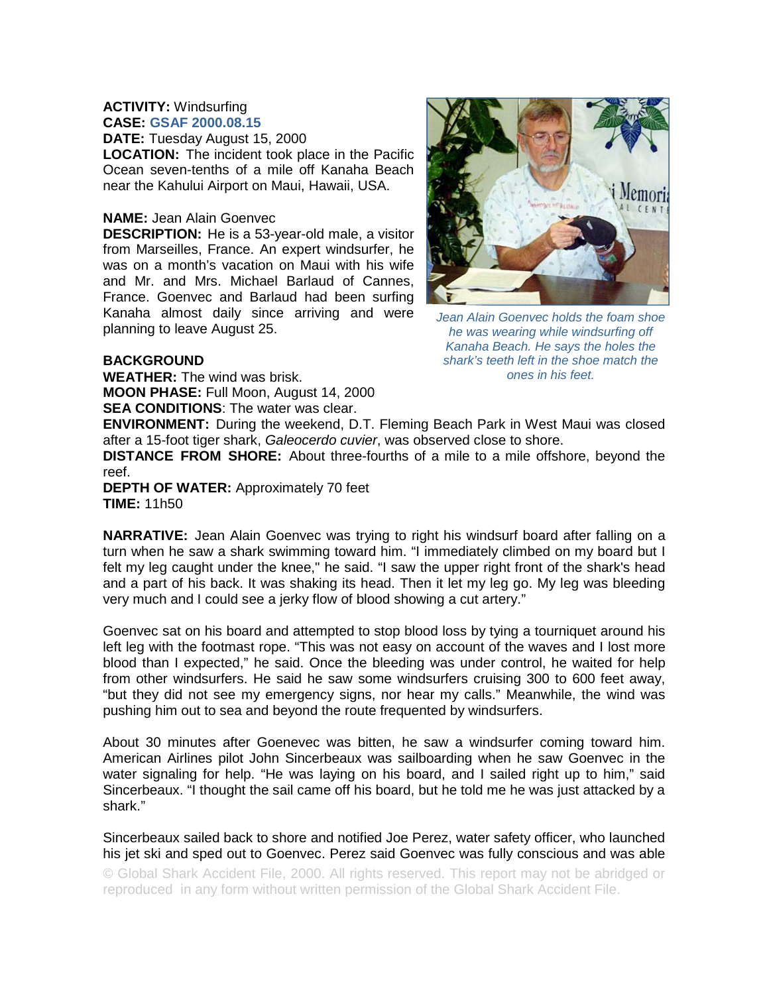## **ACTIVITY:** Windsurfing **CASE: GSAF 2000.08.15**

**DATE:** Tuesday August 15, 2000

**LOCATION:** The incident took place in the Pacific Ocean seven-tenths of a mile off Kanaha Beach near the Kahului Airport on Maui, Hawaii, USA.

## **NAME:** Jean Alain Goenvec

**DESCRIPTION:** He is a 53-year-old male, a visitor from Marseilles, France. An expert windsurfer, he was on a month's vacation on Maui with his wife and Mr. and Mrs. Michael Barlaud of Cannes, France. Goenvec and Barlaud had been surfing Kanaha almost daily since arriving and were planning to leave August 25.

## **BACKGROUND**

**WEATHER:** The wind was brisk. **MOON PHASE:** Full Moon, August 14, 2000 **SEA CONDITIONS:** The water was clear.



*Jean Alain Goenvec holds the foam shoe he was wearing while windsurfing off Kanaha Beach. He says the holes the shark's teeth left in the shoe match the ones in his feet.* 

**ENVIRONMENT:** During the weekend, D.T. Fleming Beach Park in West Maui was closed after a 15-foot tiger shark, *Galeocerdo cuvier*, was observed close to shore.

**DISTANCE FROM SHORE:** About three-fourths of a mile to a mile offshore, beyond the reef.

**DEPTH OF WATER:** Approximately 70 feet **TIME:** 11h50

**NARRATIVE:** Jean Alain Goenvec was trying to right his windsurf board after falling on a turn when he saw a shark swimming toward him. "I immediately climbed on my board but I felt my leg caught under the knee," he said. "I saw the upper right front of the shark's head and a part of his back. It was shaking its head. Then it let my leg go. My leg was bleeding very much and I could see a jerky flow of blood showing a cut artery."

Goenvec sat on his board and attempted to stop blood loss by tying a tourniquet around his left leg with the footmast rope. "This was not easy on account of the waves and I lost more blood than I expected," he said. Once the bleeding was under control, he waited for help from other windsurfers. He said he saw some windsurfers cruising 300 to 600 feet away, "but they did not see my emergency signs, nor hear my calls." Meanwhile, the wind was pushing him out to sea and beyond the route frequented by windsurfers.

About 30 minutes after Goenevec was bitten, he saw a windsurfer coming toward him. American Airlines pilot John Sincerbeaux was sailboarding when he saw Goenvec in the water signaling for help. "He was laying on his board, and I sailed right up to him," said Sincerbeaux. "I thought the sail came off his board, but he told me he was just attacked by a shark."

Sincerbeaux sailed back to shore and notified Joe Perez, water safety officer, who launched his jet ski and sped out to Goenvec. Perez said Goenvec was fully conscious and was able

© Global Shark Accident File, 2000. All rights reserved. This report may not be abridged or reproduced in any form without written permission of the Global Shark Accident File.